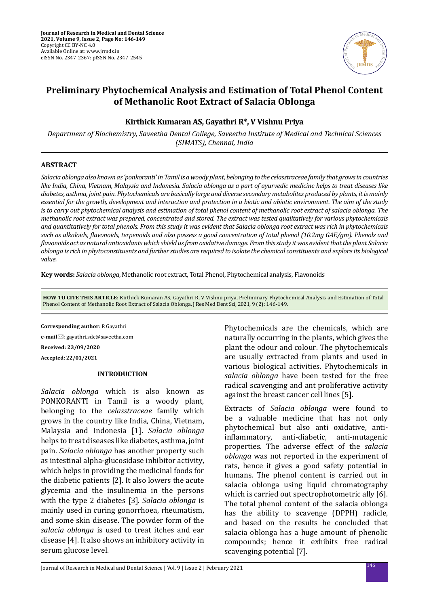

# **Preliminary Phytochemical Analysis and Estimation of Total Phenol Content of Methanolic Root Extract of Salacia Oblonga**

# **Kirthick Kumaran AS, Gayathri R\*, V Vishnu Priya**

*Department of Biochemistry, Saveetha Dental College, Saveetha Institute of Medical and Technical Sciences (SIMATS), Chennai, India*

#### **ABSTRACT**

*Salacia oblonga also known as 'ponkoranti' in Tamil is a woody plant, belonging to the celasstraceae family that grows in countries like India, China, Vietnam, Malaysia and Indonesia. Salacia oblonga as a part of ayurvedic medicine helps to treat diseases like diabetes, asthma, joint pain. Phytochemicals are basically large and diverse secondary metabolites produced by plants, it is mainly essential for the growth, development and interaction and protection in a biotic and abiotic environment. The aim of the study is to carry out phytochemical analysis and estimation of total phenol content of methanolic root extract of salacia oblonga. The methanolic root extract was prepared, concentrated and stored. The extract was tested qualitatively for various phytochemicals and quantitatively for total phenols. From this study it was evident that Salacia oblonga root extract was rich in phytochemicals such as alkaloids, flavonoids, terpenoids and also possess a good concentration of total phenol (10.2mg GAE/gm). Phenols and flavonoids act as natural antioxidants which shield us from oxidative damage. From this study it was evident that the plant Salacia oblonga is rich in phytoconstituents and further studies are required to isolate the chemical constituents and explore its biological value.*

**Key words:** *Salacia oblonga*, Methanolic root extract, Total Phenol, Phytochemical analysis, Flavonoids

**HOW TO CITE THIS ARTICLE**: Kirthick Kumaran AS, Gayathri R, V Vishnu priya, Preliminary Phytochemical Analysis and Estimation of Total Phenol Content of Methanolic Root Extract of Salacia Oblonga, J Res Med Dent Sci, 2021, 9 (2): 146-149.

**Corresponding author**: R Gayathri **e-mail**⊠: gayathri.sdc@saveetha.com **Received: 23/09/2020 Accepted: 22/01/2021**

#### **INTRODUCTION**

*Salacia oblonga* which is also known as PONKORANTI in Tamil is a woody plant, belonging to the *celasstraceae* family which grows in the country like India, China, Vietnam, Malaysia and Indonesia [1]. *Salacia oblonga* helps to treat diseases like diabetes, asthma, joint pain. *Salacia oblonga* has another property such as intestinal alpha-glucosidase inhibitor activity, which helps in providing the medicinal foods for the diabetic patients [2]. It also lowers the acute glycemia and the insulinemia in the persons with the type 2 diabetes [3]. *Salacia oblonga* is mainly used in curing gonorrhoea, rheumatism, and some skin disease. The powder form of the *salacia oblonga* is used to treat itches and ear disease [4]. It also shows an inhibitory activity in serum glucose level.

Phytochemicals are the chemicals, which are naturally occurring in the plants, which gives the plant the odour and colour. The phytochemicals are usually extracted from plants and used in various biological activities. Phytochemicals in *salacia oblonga* have been tested for the free radical scavenging and ant proliferative activity against the breast cancer cell lines [5].

Extracts of *Salacia oblonga* were found to be a valuable medicine that has not only phytochemical but also anti oxidative, anti-<br>inflammatory, anti-diabetic, anti-mutagenic anti-mutagenic properties. The adverse effect of the *salacia oblonga* was not reported in the experiment of rats, hence it gives a good safety potential in humans. The phenol content is carried out in salacia oblonga using liquid chromatography which is carried out spectrophotometric ally [6]. The total phenol content of the salacia oblonga has the ability to scavenge (DPPH) radicle, and based on the results he concluded that salacia oblonga has a huge amount of phenolic compounds; hence it exhibits free radical scavenging potential [7].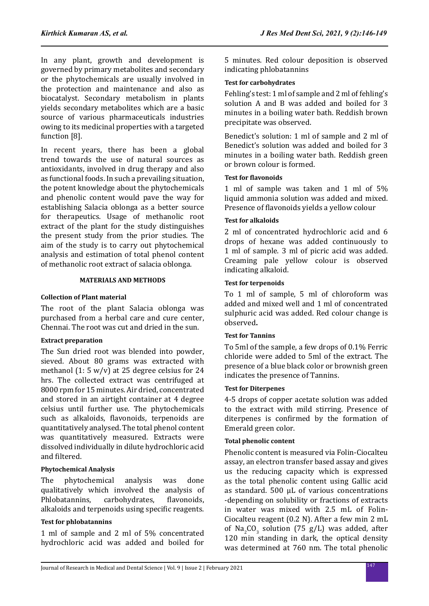In any plant, growth and development is governed by primary metabolites and secondary or the phytochemicals are usually involved in the protection and maintenance and also as biocatalyst. Secondary metabolism in plants yields secondary metabolites which are a basic source of various pharmaceuticals industries owing to its medicinal properties with a targeted function [8].

In recent years, there has been a global trend towards the use of natural sources as antioxidants, involved in drug therapy and also as functional foods. In such a prevailing situation, the potent knowledge about the phytochemicals and phenolic content would pave the way for establishing Salacia oblonga as a better source for therapeutics. Usage of methanolic root extract of the plant for the study distinguishes the present study from the prior studies. The aim of the study is to carry out phytochemical analysis and estimation of total phenol content of methanolic root extract of salacia oblonga.

### **MATERIALS AND METHODS**

# **Collection of Plant material**

The root of the plant Salacia oblonga was purchased from a herbal care and cure center, Chennai. The root was cut and dried in the sun.

# **Extract preparation**

The Sun dried root was blended into powder, sieved. About 80 grams was extracted with methanol (1: 5 w/v) at 25 degree celsius for 24 hrs. The collected extract was centrifuged at 8000 rpm for 15 minutes. Air dried, concentrated and stored in an airtight container at 4 degree celsius until further use. The phytochemicals such as alkaloids, flavonoids, terpenoids are quantitatively analysed. The total phenol content was quantitatively measured. Extracts were dissolved individually in dilute hydrochloric acid and filtered.

# **Phytochemical Analysis**

The phytochemical analysis was done qualitatively which involved the analysis of Phlobatannins, carbohydrates, flavonoids, carbohydrates, alkaloids and terpenoids using specific reagents.

# **Test for phlobatannins**

1 ml of sample and 2 ml of 5% concentrated hydrochloric acid was added and boiled for 5 minutes. Red colour deposition is observed indicating phlobatannins

### **Test for carbohydrates**

Fehling's test: 1 ml of sample and 2 ml of fehling's solution A and B was added and boiled for 3 minutes in a boiling water bath. Reddish brown precipitate was observed.

Benedict's solution: 1 ml of sample and 2 ml of Benedict's solution was added and boiled for 3 minutes in a boiling water bath. Reddish green or brown colour is formed.

### **Test for flavonoids**

1 ml of sample was taken and 1 ml of 5% liquid ammonia solution was added and mixed. Presence of flavonoids yields a yellow colour

# **Test for alkaloids**

2 ml of concentrated hydrochloric acid and 6 drops of hexane was added continuously to 1 ml of sample. 3 ml of picric acid was added. Creaming pale yellow colour is observed indicating alkaloid.

### **Test for terpenoids**

To 1 ml of sample, 5 ml of chloroform was added and mixed well and 1 ml of concentrated sulphuric acid was added. Red colour change is observed**.**

### **Test for Tannins**

To 5ml of the sample, a few drops of 0.1% Ferric chloride were added to 5ml of the extract. The presence of a blue black color or brownish green indicates the presence of Tannins.

### **Test for Diterpenes**

4-5 drops of copper acetate solution was added to the extract with mild stirring. Presence of diterpenes is confirmed by the formation of Emerald green color.

# **Total phenolic content**

Phenolic content is measured via Folin-Ciocalteu assay, an electron transfer based assay and gives us the reducing capacity which is expressed as the total phenolic content using Gallic acid as standard. 500 µL of various concentrations -depending on solubility or fractions of extracts in water was mixed with 2.5 mL of Folin-Ciocalteu reagent (0.2 N). After a few min 2 mL of  $\text{Na}_2\text{CO}_3$  solution (75 g/L) was added, after 120 min standing in dark, the optical density was determined at 760 nm. The total phenolic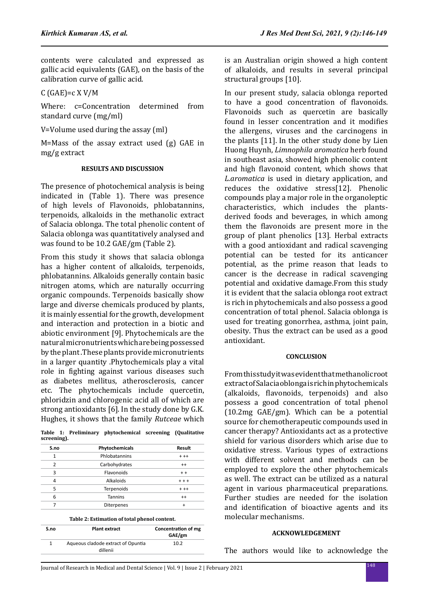contents were calculated and expressed as gallic acid equivalents (GAE), on the basis of the calibration curve of gallic acid.

C (GAE)=c X V/M

Where: c=Concentration determined from standard curve (mg/ml)

V=Volume used during the assay (ml)

M=Mass of the assay extract used (g) GAE in mg/g extract

#### **RESULTS AND DISCUSSION**

The presence of photochemical analysis is being indicated in (Table 1). There was presence of high levels of Flavonoids, phlobatannins, terpenoids, alkaloids in the methanolic extract of Salacia oblonga. The total phenolic content of Salacia oblonga was quantitatively analysed and was found to be 10.2 GAE/gm (Table 2).

From this study it shows that salacia oblonga has a higher content of alkaloids, terpenoids, phlobatannins. Alkaloids generally contain basic nitrogen atoms, which are naturally occurring organic compounds. Terpenoids basically show large and diverse chemicals produced by plants, it is mainly essential for the growth, development and interaction and protection in a biotic and abiotic environment [\[9\].](https://paperpile.com/c/CuADKi/HcbZ) Phytochemicals are the natural micronutrients which are being possessed by the plant .These plants provide micronutrients in a larger quantity .Phytochemicals play a vital role in fighting against various diseases such as diabetes mellitus, atherosclerosis, cancer etc. The phytochemicals include quercetin, phloridzin and chlorogenic acid all of which are strong antioxidants [6]. In the study done by G.K. Hughes, it shows that the family *Rutceae* which

**Table 1: Preliminary phytochemical screening (Qualitative screening).**

| Phytochemicals | Result  |
|----------------|---------|
| Phlobatannins  | $+ + +$ |
| Carbohydrates  | $^{++}$ |
| Flavonoids     | $+ +$   |
| Alkaloids      | $+ + +$ |
| Terpenoids     | $+ + +$ |
| <b>Tannins</b> | $^{++}$ |
| Diterpenes     |         |
|                |         |

**Table 2: Estimation of total phenol content.**

| S.no | <b>Plant extract</b>               | Concentration of mg<br>GAE/gm |
|------|------------------------------------|-------------------------------|
| 1    | Aqueous cladode extract of Opuntia | 10.2                          |
|      | dillenii                           |                               |

is an Australian origin showed a high content of alkaloids, and results in several principal structural groups [10].

In our present study, salacia oblonga reported to have a good concentration of flavonoids. Flavonoids such as quercetin are basically found in lesser concentration and it modifies the allergens, viruses and the carcinogens in the plants [11]. In the other study done by Lien Huong Huynh, *Limnophila aromatica* herb found in southeast asia, showed high phenolic content and high flavonoid content, which shows that *L.aromatica* is used in dietary application, and reduces the oxidative stress[\[12\].](https://paperpile.com/c/CuADKi/Vbxh) Phenolic compounds play a major role in the organoleptic characteristics, which includes the plantsderived foods and beverages, in which among them the flavonoids are present more in the group of plant phenolics [\[13\]](https://paperpile.com/c/CuADKi/XRk2). Herbal extracts with a good antioxidant and radical scavenging potential can be tested for its anticancer potential, as the prime reason that leads to cancer is the decrease in radical scavenging potential and oxidative damage.From this study it is evident that the salacia oblonga root extract is rich in phytochemicals and also possess a good concentration of total phenol. Salacia oblonga is used for treating gonorrhea, asthma, joint pain, obesity. Thus the extract can be used as a good antioxidant.

#### **CONCLUSION**

From this study it was evident that methanolic root extract of Salacia oblonga is rich in phytochemicals (alkaloids, flavonoids, terpenoids) and also possess a good concentration of total phenol (10.2mg GAE/gm). Which can be a potential source for chemotherapeutic compounds used in cancer therapy? Antioxidants act as a protective shield for various disorders which arise due to oxidative stress. Various types of extractions with different solvent and methods can be employed to explore the other phytochemicals as well. The extract can be utilized as a natural agent in various pharmaceutical preparations. Further studies are needed for the isolation and identification of bioactive agents and its molecular mechanisms.

#### **ACKNOWLEDGEMENT**

The authors would like to acknowledge the